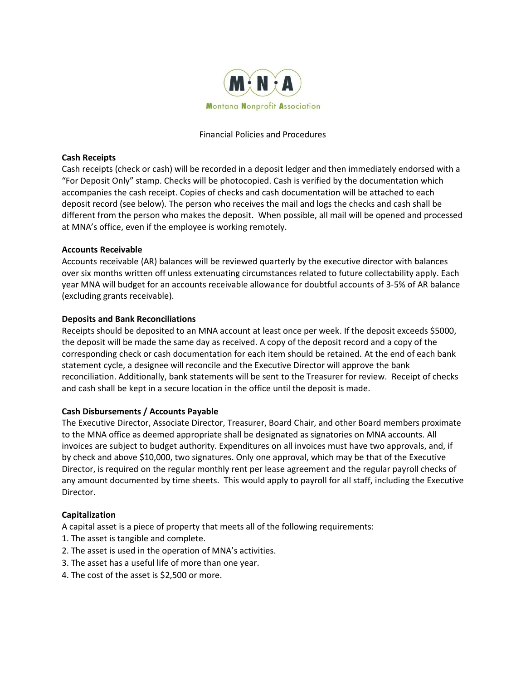

#### Financial Policies and Procedures

### **Cash Receipts**

Cash receipts (check or cash) will be recorded in a deposit ledger and then immediately endorsed with a "For Deposit Only" stamp. Checks will be photocopied. Cash is verified by the documentation which accompanies the cash receipt. Copies of checks and cash documentation will be attached to each deposit record (see below). The person who receives the mail and logs the checks and cash shall be different from the person who makes the deposit. When possible, all mail will be opened and processed at MNA's office, even if the employee is working remotely.

### **Accounts Receivable**

Accounts receivable (AR) balances will be reviewed quarterly by the executive director with balances over six months written off unless extenuating circumstances related to future collectability apply. Each year MNA will budget for an accounts receivable allowance for doubtful accounts of 3-5% of AR balance (excluding grants receivable).

### **Deposits and Bank Reconciliations**

Receipts should be deposited to an MNA account at least once per week. If the deposit exceeds \$5000, the deposit will be made the same day as received. A copy of the deposit record and a copy of the corresponding check or cash documentation for each item should be retained. At the end of each bank statement cycle, a designee will reconcile and the Executive Director will approve the bank reconciliation. Additionally, bank statements will be sent to the Treasurer for review. Receipt of checks and cash shall be kept in a secure location in the office until the deposit is made.

#### **Cash Disbursements / Accounts Payable**

The Executive Director, Associate Director, Treasurer, Board Chair, and other Board members proximate to the MNA office as deemed appropriate shall be designated as signatories on MNA accounts. All invoices are subject to budget authority. Expenditures on all invoices must have two approvals, and, if by check and above \$10,000, two signatures. Only one approval, which may be that of the Executive Director, is required on the regular monthly rent per lease agreement and the regular payroll checks of any amount documented by time sheets. This would apply to payroll for all staff, including the Executive Director.

# **Capitalization**

A capital asset is a piece of property that meets all of the following requirements:

- 1. The asset is tangible and complete.
- 2. The asset is used in the operation of MNA's activities.
- 3. The asset has a useful life of more than one year.
- 4. The cost of the asset is \$2,500 or more.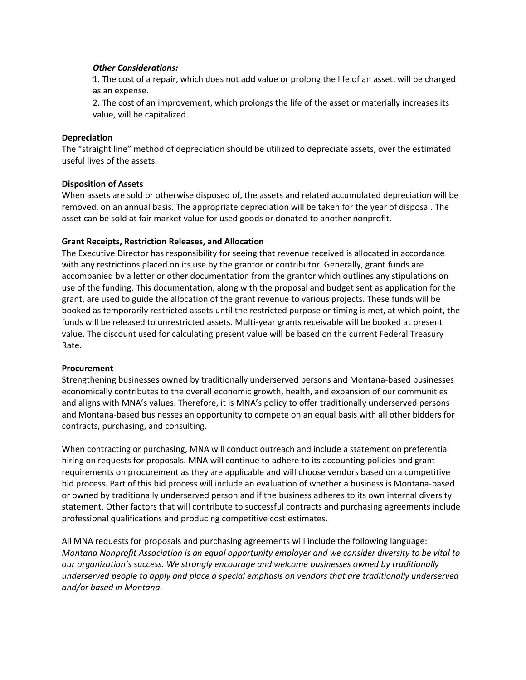### *Other Considerations:*

1. The cost of a repair, which does not add value or prolong the life of an asset, will be charged as an expense.

2. The cost of an improvement, which prolongs the life of the asset or materially increases its value, will be capitalized.

## **Depreciation**

The "straight line" method of depreciation should be utilized to depreciate assets, over the estimated useful lives of the assets.

# **Disposition of Assets**

When assets are sold or otherwise disposed of, the assets and related accumulated depreciation will be removed, on an annual basis. The appropriate depreciation will be taken for the year of disposal. The asset can be sold at fair market value for used goods or donated to another nonprofit.

### **Grant Receipts, Restriction Releases, and Allocation**

The Executive Director has responsibility for seeing that revenue received is allocated in accordance with any restrictions placed on its use by the grantor or contributor. Generally, grant funds are accompanied by a letter or other documentation from the grantor which outlines any stipulations on use of the funding. This documentation, along with the proposal and budget sent as application for the grant, are used to guide the allocation of the grant revenue to various projects. These funds will be booked as temporarily restricted assets until the restricted purpose or timing is met, at which point, the funds will be released to unrestricted assets. Multi-year grants receivable will be booked at present value. The discount used for calculating present value will be based on the current Federal Treasury Rate.

# **Procurement**

Strengthening businesses owned by traditionally underserved persons and Montana-based businesses economically contributes to the overall economic growth, health, and expansion of our communities and aligns with MNA's values. Therefore, it is MNA's policy to offer traditionally underserved persons and Montana-based businesses an opportunity to compete on an equal basis with all other bidders for contracts, purchasing, and consulting.

When contracting or purchasing, MNA will conduct outreach and include a statement on preferential hiring on requests for proposals. MNA will continue to adhere to its accounting policies and grant requirements on procurement as they are applicable and will choose vendors based on a competitive bid process. Part of this bid process will include an evaluation of whether a business is Montana-based or owned by traditionally underserved person and if the business adheres to its own internal diversity statement. Other factors that will contribute to successful contracts and purchasing agreements include professional qualifications and producing competitive cost estimates.

All MNA requests for proposals and purchasing agreements will include the following language: *Montana Nonprofit Association is an equal opportunity employer and we consider diversity to be vital to our organization's success. We strongly encourage and welcome businesses owned by traditionally underserved people to apply and place a special emphasis on vendors that are traditionally underserved and/or based in Montana.*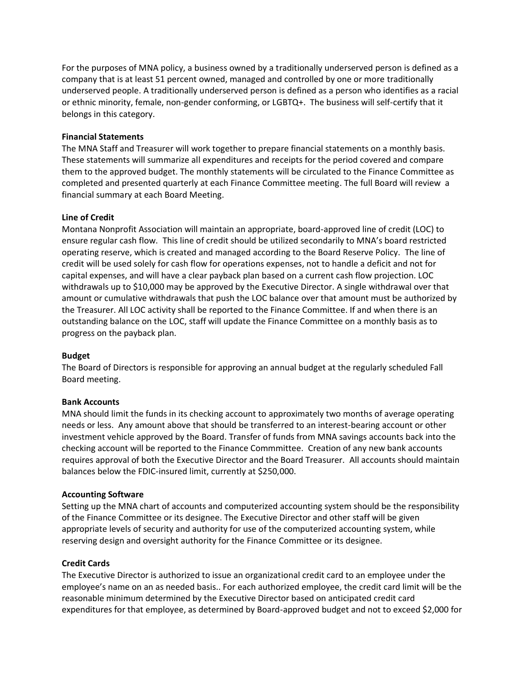For the purposes of MNA policy, a business owned by a traditionally underserved person is defined as a company that is at least 51 percent owned, managed and controlled by one or more traditionally underserved people. A traditionally underserved person is defined as a person who identifies as a racial or ethnic minority, female, non-gender conforming, or LGBTQ+. The business will self-certify that it belongs in this category.

## **Financial Statements**

The MNA Staff and Treasurer will work together to prepare financial statements on a monthly basis. These statements will summarize all expenditures and receipts for the period covered and compare them to the approved budget. The monthly statements will be circulated to the Finance Committee as completed and presented quarterly at each Finance Committee meeting. The full Board will review a financial summary at each Board Meeting.

### **Line of Credit**

Montana Nonprofit Association will maintain an appropriate, board-approved line of credit (LOC) to ensure regular cash flow. This line of credit should be utilized secondarily to MNA's board restricted operating reserve, which is created and managed according to the Board Reserve Policy. The line of credit will be used solely for cash flow for operations expenses, not to handle a deficit and not for capital expenses, and will have a clear payback plan based on a current cash flow projection. LOC withdrawals up to \$10,000 may be approved by the Executive Director. A single withdrawal over that amount or cumulative withdrawals that push the LOC balance over that amount must be authorized by the Treasurer. All LOC activity shall be reported to the Finance Committee. If and when there is an outstanding balance on the LOC, staff will update the Finance Committee on a monthly basis as to progress on the payback plan.

#### **Budget**

The Board of Directors is responsible for approving an annual budget at the regularly scheduled Fall Board meeting.

#### **Bank Accounts**

MNA should limit the funds in its checking account to approximately two months of average operating needs or less. Any amount above that should be transferred to an interest-bearing account or other investment vehicle approved by the Board. Transfer of funds from MNA savings accounts back into the checking account will be reported to the Finance Commmittee. Creation of any new bank accounts requires approval of both the Executive Director and the Board Treasurer. All accounts should maintain balances below the FDIC-insured limit, currently at \$250,000.

#### **Accounting Software**

Setting up the MNA chart of accounts and computerized accounting system should be the responsibility of the Finance Committee or its designee. The Executive Director and other staff will be given appropriate levels of security and authority for use of the computerized accounting system, while reserving design and oversight authority for the Finance Committee or its designee.

#### **Credit Cards**

The Executive Director is authorized to issue an organizational credit card to an employee under the employee's name on an as needed basis.. For each authorized employee, the credit card limit will be the reasonable minimum determined by the Executive Director based on anticipated credit card expenditures for that employee, as determined by Board-approved budget and not to exceed \$2,000 for